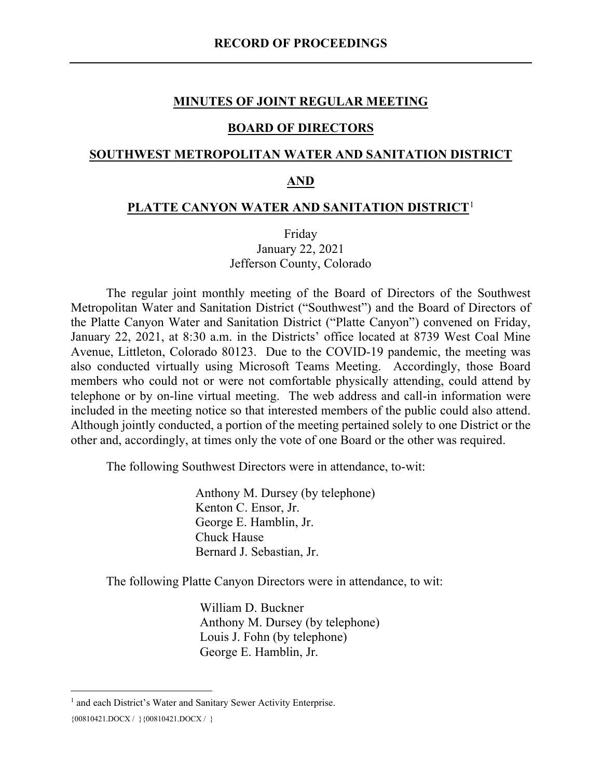#### **MINUTES OF JOINT REGULAR MEETING**

#### **BOARD OF DIRECTORS**

## **SOUTHWEST METROPOLITAN WATER AND SANITATION DISTRICT**

#### **AND**

#### **PLATTE CANYON WATER AND SANITATION DISTRICT**[1](#page-0-0)

Friday January 22, 2021 Jefferson County, Colorado

The regular joint monthly meeting of the Board of Directors of the Southwest Metropolitan Water and Sanitation District ("Southwest") and the Board of Directors of the Platte Canyon Water and Sanitation District ("Platte Canyon") convened on Friday, January 22, 2021, at 8:30 a.m. in the Districts' office located at 8739 West Coal Mine Avenue, Littleton, Colorado 80123. Due to the COVID-19 pandemic, the meeting was also conducted virtually using Microsoft Teams Meeting. Accordingly, those Board members who could not or were not comfortable physically attending, could attend by telephone or by on-line virtual meeting. The web address and call-in information were included in the meeting notice so that interested members of the public could also attend. Although jointly conducted, a portion of the meeting pertained solely to one District or the other and, accordingly, at times only the vote of one Board or the other was required.

The following Southwest Directors were in attendance, to-wit:

Anthony M. Dursey (by telephone) Kenton C. Ensor, Jr. George E. Hamblin, Jr. Chuck Hause Bernard J. Sebastian, Jr.

The following Platte Canyon Directors were in attendance, to wit:

William D. Buckner Anthony M. Dursey (by telephone) Louis J. Fohn (by telephone) George E. Hamblin, Jr.

<span id="page-0-0"></span><sup>&</sup>lt;sup>1</sup> and each District's Water and Sanitary Sewer Activity Enterprise.

<sup>{00810421.</sup>DOCX / }{00810421.DOCX / }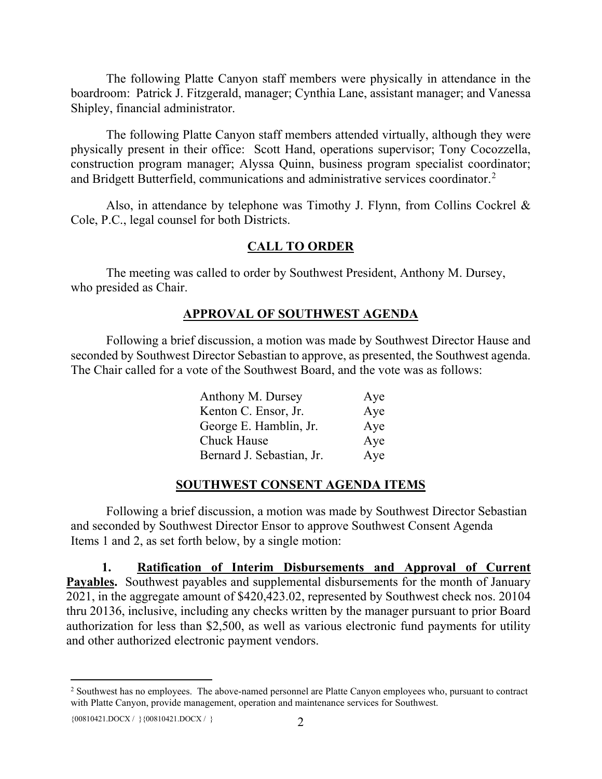The following Platte Canyon staff members were physically in attendance in the boardroom: Patrick J. Fitzgerald, manager; Cynthia Lane, assistant manager; and Vanessa Shipley, financial administrator.

The following Platte Canyon staff members attended virtually, although they were physically present in their office: Scott Hand, operations supervisor; Tony Cocozzella, construction program manager; Alyssa Quinn, business program specialist coordinator; and Bridgett Butterfield, communications and administrative services coordinator.[2](#page-1-0)

Also, in attendance by telephone was Timothy J. Flynn, from Collins Cockrel & Cole, P.C., legal counsel for both Districts.

## **CALL TO ORDER**

The meeting was called to order by Southwest President, Anthony M. Dursey, who presided as Chair.

## **APPROVAL OF SOUTHWEST AGENDA**

Following a brief discussion, a motion was made by Southwest Director Hause and seconded by Southwest Director Sebastian to approve, as presented, the Southwest agenda. The Chair called for a vote of the Southwest Board, and the vote was as follows:

| Anthony M. Dursey         | Aye |
|---------------------------|-----|
| Kenton C. Ensor, Jr.      | Aye |
| George E. Hamblin, Jr.    | Aye |
| <b>Chuck Hause</b>        | Aye |
| Bernard J. Sebastian, Jr. | Aye |

# **SOUTHWEST CONSENT AGENDA ITEMS**

Following a brief discussion, a motion was made by Southwest Director Sebastian and seconded by Southwest Director Ensor to approve Southwest Consent Agenda Items 1 and 2, as set forth below, by a single motion:

**1. Ratification of Interim Disbursements and Approval of Current Payables.** Southwest payables and supplemental disbursements for the month of January 2021, in the aggregate amount of \$420,423.02, represented by Southwest check nos. 20104 thru 20136, inclusive, including any checks written by the manager pursuant to prior Board authorization for less than \$2,500, as well as various electronic fund payments for utility and other authorized electronic payment vendors.

{ $00810421.DOCX /$ }{ $00810421.DOCX /$ } 2

<span id="page-1-0"></span><sup>&</sup>lt;sup>2</sup> Southwest has no employees. The above-named personnel are Platte Canyon employees who, pursuant to contract with Platte Canyon, provide management, operation and maintenance services for Southwest.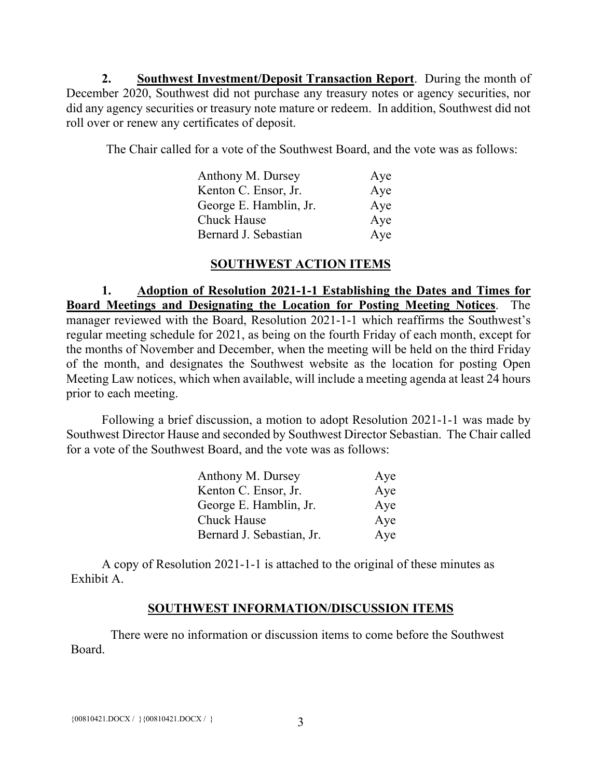**2. Southwest Investment/Deposit Transaction Report**. During the month of December 2020, Southwest did not purchase any treasury notes or agency securities, nor did any agency securities or treasury note mature or redeem. In addition, Southwest did not roll over or renew any certificates of deposit.

The Chair called for a vote of the Southwest Board, and the vote was as follows:

| Anthony M. Dursey      | Aye |
|------------------------|-----|
| Kenton C. Ensor, Jr.   | Aye |
| George E. Hamblin, Jr. | Aye |
| <b>Chuck Hause</b>     | Aye |
| Bernard J. Sebastian   | Aye |

#### **SOUTHWEST ACTION ITEMS**

**1. Adoption of Resolution 2021-1-1 Establishing the Dates and Times for Board Meetings and Designating the Location for Posting Meeting Notices**. The manager reviewed with the Board, Resolution 2021-1-1 which reaffirms the Southwest's regular meeting schedule for 2021, as being on the fourth Friday of each month, except for the months of November and December, when the meeting will be held on the third Friday of the month, and designates the Southwest website as the location for posting Open Meeting Law notices, which when available, will include a meeting agenda at least 24 hours prior to each meeting.

Following a brief discussion, a motion to adopt Resolution 2021-1-1 was made by Southwest Director Hause and seconded by Southwest Director Sebastian. The Chair called for a vote of the Southwest Board, and the vote was as follows:

| Anthony M. Dursey         | Aye |
|---------------------------|-----|
| Kenton C. Ensor, Jr.      | Aye |
| George E. Hamblin, Jr.    | Aye |
| <b>Chuck Hause</b>        | Aye |
| Bernard J. Sebastian, Jr. | Aye |

A copy of Resolution 2021-1-1 is attached to the original of these minutes as Exhibit A.

## **SOUTHWEST INFORMATION/DISCUSSION ITEMS**

There were no information or discussion items to come before the Southwest Board.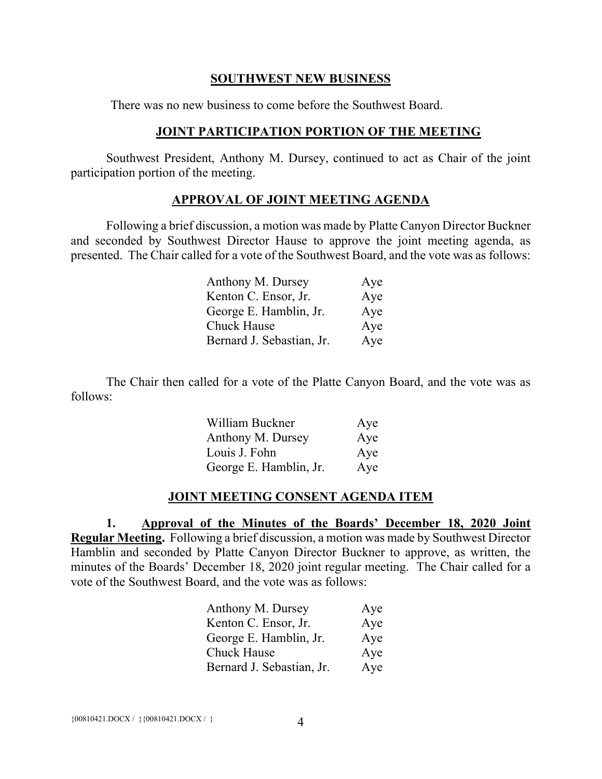#### **SOUTHWEST NEW BUSINESS**

There was no new business to come before the Southwest Board.

#### **JOINT PARTICIPATION PORTION OF THE MEETING**

Southwest President, Anthony M. Dursey, continued to act as Chair of the joint participation portion of the meeting.

#### **APPROVAL OF JOINT MEETING AGENDA**

Following a brief discussion, a motion was made by Platte Canyon Director Buckner and seconded by Southwest Director Hause to approve the joint meeting agenda, as presented. The Chair called for a vote of the Southwest Board, and the vote was as follows:

| Anthony M. Dursey         | Aye |
|---------------------------|-----|
| Kenton C. Ensor, Jr.      | Aye |
| George E. Hamblin, Jr.    | Aye |
| <b>Chuck Hause</b>        | Aye |
| Bernard J. Sebastian, Jr. | Aye |

The Chair then called for a vote of the Platte Canyon Board, and the vote was as follows:

| William Buckner        | Aye |
|------------------------|-----|
| Anthony M. Dursey      | Aye |
| Louis J. Fohn          | Aye |
| George E. Hamblin, Jr. | Aye |

#### **JOINT MEETING CONSENT AGENDA ITEM**

**1. Approval of the Minutes of the Boards' December 18, 2020 Joint Regular Meeting.** Following a brief discussion, a motion was made by Southwest Director Hamblin and seconded by Platte Canyon Director Buckner to approve, as written, the minutes of the Boards' December 18, 2020 joint regular meeting. The Chair called for a vote of the Southwest Board, and the vote was as follows:

| Anthony M. Dursey         | Aye |
|---------------------------|-----|
| Kenton C. Ensor, Jr.      | Aye |
| George E. Hamblin, Jr.    | Aye |
| Chuck Hause               | Aye |
| Bernard J. Sebastian, Jr. | Aye |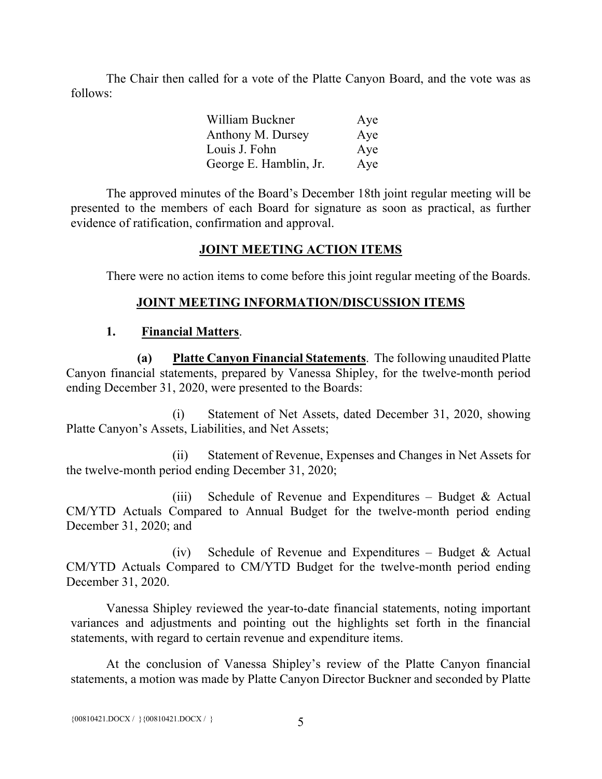The Chair then called for a vote of the Platte Canyon Board, and the vote was as follows:

| William Buckner        | Aye |
|------------------------|-----|
| Anthony M. Dursey      | Aye |
| Louis J. Fohn          | Aye |
| George E. Hamblin, Jr. | Aye |

The approved minutes of the Board's December 18th joint regular meeting will be presented to the members of each Board for signature as soon as practical, as further evidence of ratification, confirmation and approval.

## **JOINT MEETING ACTION ITEMS**

There were no action items to come before this joint regular meeting of the Boards.

# **JOINT MEETING INFORMATION/DISCUSSION ITEMS**

## **1. Financial Matters**.

**(a) Platte Canyon Financial Statements**. The following unaudited Platte Canyon financial statements, prepared by Vanessa Shipley, for the twelve-month period ending December 31, 2020, were presented to the Boards:

(i) Statement of Net Assets, dated December 31, 2020, showing Platte Canyon's Assets, Liabilities, and Net Assets;

(ii) Statement of Revenue, Expenses and Changes in Net Assets for the twelve-month period ending December 31, 2020;

(iii) Schedule of Revenue and Expenditures – Budget  $\&$  Actual CM/YTD Actuals Compared to Annual Budget for the twelve-month period ending December 31, 2020; and

(iv) Schedule of Revenue and Expenditures – Budget & Actual CM/YTD Actuals Compared to CM/YTD Budget for the twelve-month period ending December 31, 2020.

Vanessa Shipley reviewed the year-to-date financial statements, noting important variances and adjustments and pointing out the highlights set forth in the financial statements, with regard to certain revenue and expenditure items.

At the conclusion of Vanessa Shipley's review of the Platte Canyon financial statements, a motion was made by Platte Canyon Director Buckner and seconded by Platte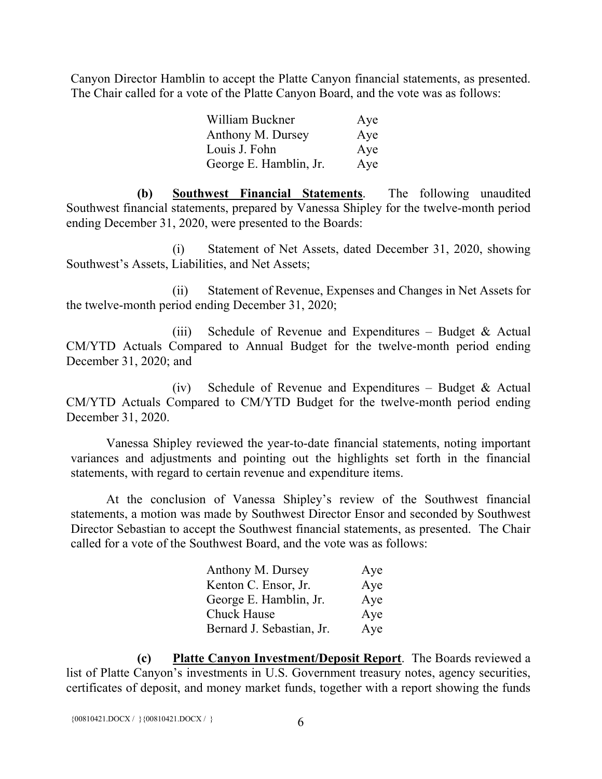Canyon Director Hamblin to accept the Platte Canyon financial statements, as presented. The Chair called for a vote of the Platte Canyon Board, and the vote was as follows:

| William Buckner        | Aye |
|------------------------|-----|
| Anthony M. Dursey      | Aye |
| Louis J. Fohn          | Aye |
| George E. Hamblin, Jr. | Aye |

**(b) Southwest Financial Statements**. The following unaudited Southwest financial statements, prepared by Vanessa Shipley for the twelve-month period ending December 31, 2020, were presented to the Boards:

(i) Statement of Net Assets, dated December 31, 2020, showing Southwest's Assets, Liabilities, and Net Assets;

(ii) Statement of Revenue, Expenses and Changes in Net Assets for the twelve-month period ending December 31, 2020;

(iii) Schedule of Revenue and Expenditures – Budget  $\&$  Actual CM/YTD Actuals Compared to Annual Budget for the twelve-month period ending December 31, 2020; and

(iv) Schedule of Revenue and Expenditures – Budget & Actual CM/YTD Actuals Compared to CM/YTD Budget for the twelve-month period ending December 31, 2020.

Vanessa Shipley reviewed the year-to-date financial statements, noting important variances and adjustments and pointing out the highlights set forth in the financial statements, with regard to certain revenue and expenditure items.

At the conclusion of Vanessa Shipley's review of the Southwest financial statements, a motion was made by Southwest Director Ensor and seconded by Southwest Director Sebastian to accept the Southwest financial statements, as presented. The Chair called for a vote of the Southwest Board, and the vote was as follows:

| Anthony M. Dursey         | Aye |
|---------------------------|-----|
| Kenton C. Ensor, Jr.      | Aye |
| George E. Hamblin, Jr.    | Aye |
| Chuck Hause               | Aye |
| Bernard J. Sebastian, Jr. | Aye |

**(c) Platte Canyon Investment/Deposit Report**. The Boards reviewed a list of Platte Canyon's investments in U.S. Government treasury notes, agency securities, certificates of deposit, and money market funds, together with a report showing the funds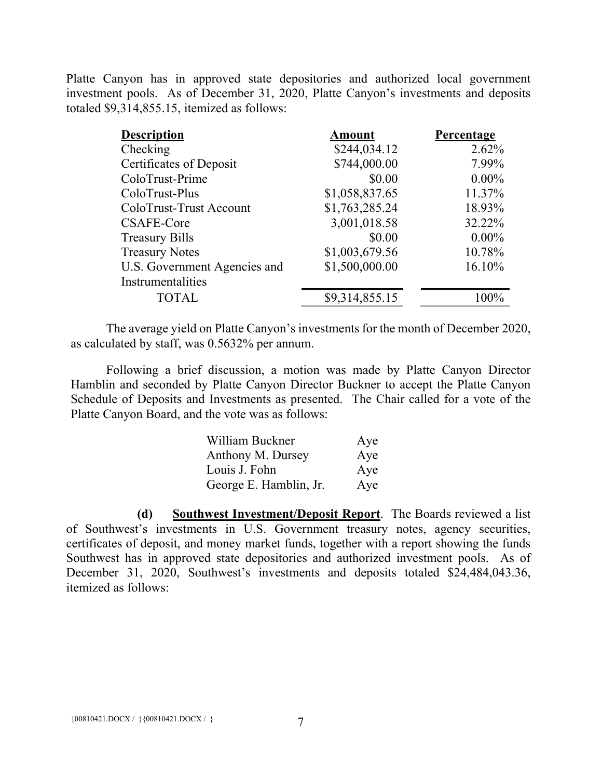Platte Canyon has in approved state depositories and authorized local government investment pools. As of December 31, 2020, Platte Canyon's investments and deposits totaled \$9,314,855.15, itemized as follows:

| <b>Description</b>           | <b>Amount</b>  | Percentage |
|------------------------------|----------------|------------|
| Checking                     | \$244,034.12   | 2.62%      |
| Certificates of Deposit      | \$744,000.00   | 7.99%      |
| ColoTrust-Prime              | \$0.00         | $0.00\%$   |
| ColoTrust-Plus               | \$1,058,837.65 | 11.37%     |
| ColoTrust-Trust Account      | \$1,763,285.24 | 18.93%     |
| CSAFE-Core                   | 3,001,018.58   | 32.22%     |
| <b>Treasury Bills</b>        | \$0.00         | $0.00\%$   |
| <b>Treasury Notes</b>        | \$1,003,679.56 | 10.78%     |
| U.S. Government Agencies and | \$1,500,000.00 | 16.10%     |
| Instrumentalities            |                |            |
| <b>TOTAL</b>                 | \$9,314,855.15 | $100\%$    |

The average yield on Platte Canyon's investments for the month of December 2020, as calculated by staff, was 0.5632% per annum.

Following a brief discussion, a motion was made by Platte Canyon Director Hamblin and seconded by Platte Canyon Director Buckner to accept the Platte Canyon Schedule of Deposits and Investments as presented. The Chair called for a vote of the Platte Canyon Board, and the vote was as follows:

| William Buckner        | Aye |
|------------------------|-----|
| Anthony M. Dursey      | Aye |
| Louis J. Fohn          | Aye |
| George E. Hamblin, Jr. | Aye |

**(d) Southwest Investment/Deposit Report**. The Boards reviewed a list of Southwest's investments in U.S. Government treasury notes, agency securities, certificates of deposit, and money market funds, together with a report showing the funds Southwest has in approved state depositories and authorized investment pools. As of December 31, 2020, Southwest's investments and deposits totaled \$24,484,043.36, itemized as follows: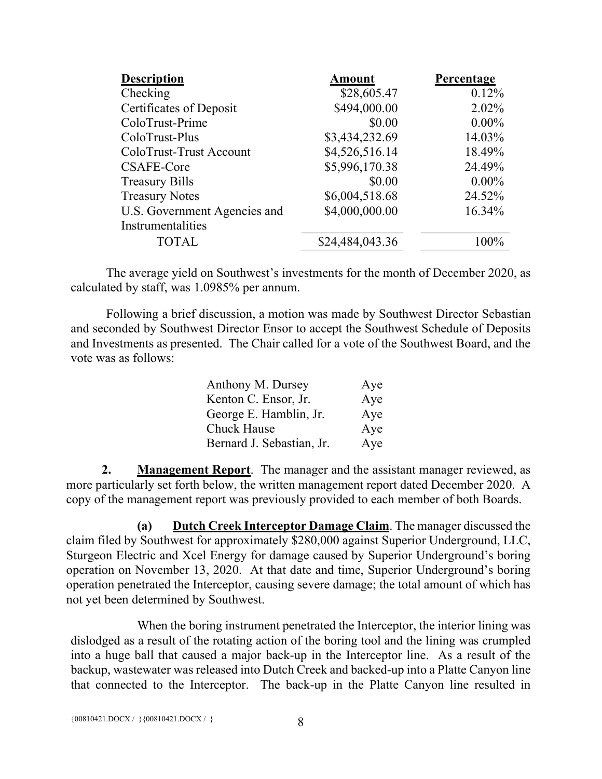| <b>Description</b>           | <b>Amount</b>   | Percentage |
|------------------------------|-----------------|------------|
| Checking                     | \$28,605.47     | 0.12%      |
| Certificates of Deposit      | \$494,000.00    | 2.02%      |
| ColoTrust-Prime              | \$0.00          | $0.00\%$   |
| ColoTrust-Plus               | \$3,434,232.69  | 14.03%     |
| ColoTrust-Trust Account      | \$4,526,516.14  | 18.49%     |
| CSAFE-Core                   | \$5,996,170.38  | 24.49%     |
| <b>Treasury Bills</b>        | \$0.00          | $0.00\%$   |
| <b>Treasury Notes</b>        | \$6,004,518.68  | 24.52%     |
| U.S. Government Agencies and | \$4,000,000.00  | 16.34%     |
| Instrumentalities            |                 |            |
| <b>TOTAL</b>                 | \$24,484,043.36 | 100%       |

The average yield on Southwest's investments for the month of December 2020, as calculated by staff, was 1.0985% per annum.

Following a brief discussion, a motion was made by Southwest Director Sebastian and seconded by Southwest Director Ensor to accept the Southwest Schedule of Deposits and Investments as presented. The Chair called for a vote of the Southwest Board, and the vote was as follows:

| Anthony M. Dursey         | Aye |
|---------------------------|-----|
| Kenton C. Ensor, Jr.      | Aye |
| George E. Hamblin, Jr.    | Aye |
| Chuck Hause               | Aye |
| Bernard J. Sebastian, Jr. | Aye |

**2. Management Report**. The manager and the assistant manager reviewed, as more particularly set forth below, the written management report dated December 2020. A copy of the management report was previously provided to each member of both Boards.

**(a) Dutch Creek Interceptor Damage Claim**. The manager discussed the claim filed by Southwest for approximately \$280,000 against Superior Underground, LLC, Sturgeon Electric and Xcel Energy for damage caused by Superior Underground's boring operation on November 13, 2020. At that date and time, Superior Underground's boring operation penetrated the Interceptor, causing severe damage; the total amount of which has not yet been determined by Southwest.

When the boring instrument penetrated the Interceptor, the interior lining was dislodged as a result of the rotating action of the boring tool and the lining was crumpled into a huge ball that caused a major back-up in the Interceptor line. As a result of the backup, wastewater was released into Dutch Creek and backed-up into a Platte Canyon line that connected to the Interceptor. The back-up in the Platte Canyon line resulted in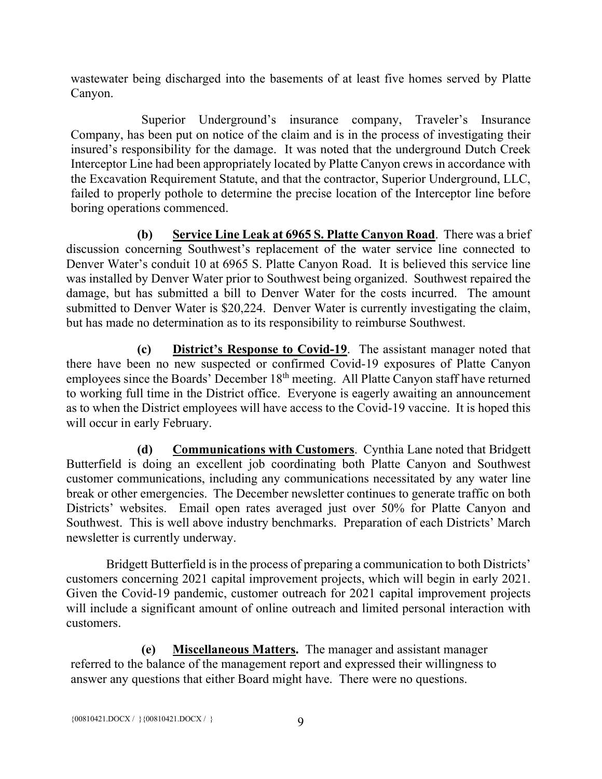wastewater being discharged into the basements of at least five homes served by Platte Canyon.

Superior Underground's insurance company, Traveler's Insurance Company, has been put on notice of the claim and is in the process of investigating their insured's responsibility for the damage. It was noted that the underground Dutch Creek Interceptor Line had been appropriately located by Platte Canyon crews in accordance with the Excavation Requirement Statute, and that the contractor, Superior Underground, LLC, failed to properly pothole to determine the precise location of the Interceptor line before boring operations commenced.

**(b) Service Line Leak at 6965 S. Platte Canyon Road**. There was a brief discussion concerning Southwest's replacement of the water service line connected to Denver Water's conduit 10 at 6965 S. Platte Canyon Road. It is believed this service line was installed by Denver Water prior to Southwest being organized. Southwest repaired the damage, but has submitted a bill to Denver Water for the costs incurred. The amount submitted to Denver Water is \$20,224. Denver Water is currently investigating the claim, but has made no determination as to its responsibility to reimburse Southwest.

**(c) District's Response to Covid-19**. The assistant manager noted that there have been no new suspected or confirmed Covid-19 exposures of Platte Canyon employees since the Boards' December 18<sup>th</sup> meeting. All Platte Canyon staff have returned to working full time in the District office. Everyone is eagerly awaiting an announcement as to when the District employees will have access to the Covid-19 vaccine. It is hoped this will occur in early February.

**(d) Communications with Customers**. Cynthia Lane noted that Bridgett Butterfield is doing an excellent job coordinating both Platte Canyon and Southwest customer communications, including any communications necessitated by any water line break or other emergencies. The December newsletter continues to generate traffic on both Districts' websites. Email open rates averaged just over 50% for Platte Canyon and Southwest. This is well above industry benchmarks. Preparation of each Districts' March newsletter is currently underway.

Bridgett Butterfield is in the process of preparing a communication to both Districts' customers concerning 2021 capital improvement projects, which will begin in early 2021. Given the Covid-19 pandemic, customer outreach for 2021 capital improvement projects will include a significant amount of online outreach and limited personal interaction with customers.

**(e) Miscellaneous Matters.** The manager and assistant manager referred to the balance of the management report and expressed their willingness to answer any questions that either Board might have. There were no questions.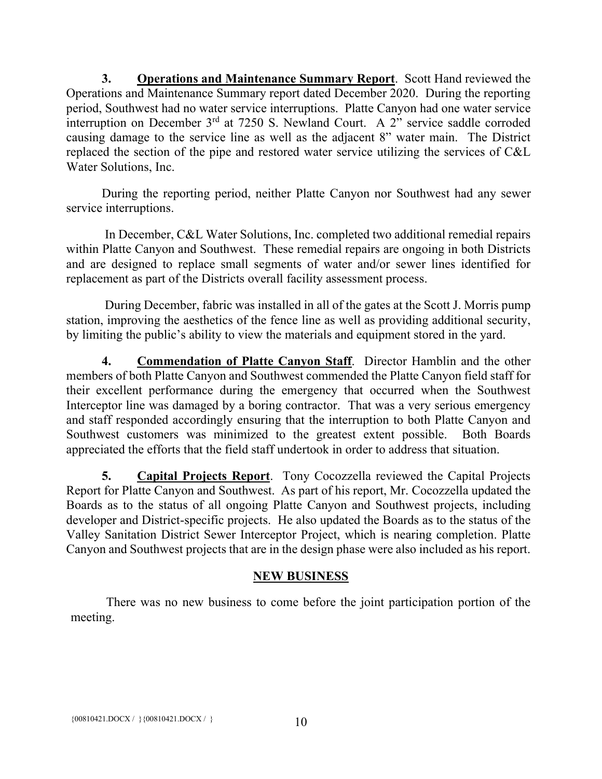**3. Operations and Maintenance Summary Report**. Scott Hand reviewed the Operations and Maintenance Summary report dated December 2020. During the reporting period, Southwest had no water service interruptions. Platte Canyon had one water service interruption on December  $3<sup>rd</sup>$  at 7250 S. Newland Court. A 2" service saddle corroded causing damage to the service line as well as the adjacent 8" water main. The District replaced the section of the pipe and restored water service utilizing the services of C&L Water Solutions, Inc.

During the reporting period, neither Platte Canyon nor Southwest had any sewer service interruptions.

In December, C&L Water Solutions, Inc. completed two additional remedial repairs within Platte Canyon and Southwest. These remedial repairs are ongoing in both Districts and are designed to replace small segments of water and/or sewer lines identified for replacement as part of the Districts overall facility assessment process.

During December, fabric was installed in all of the gates at the Scott J. Morris pump station, improving the aesthetics of the fence line as well as providing additional security, by limiting the public's ability to view the materials and equipment stored in the yard.

**4. Commendation of Platte Canyon Staff**. Director Hamblin and the other members of both Platte Canyon and Southwest commended the Platte Canyon field staff for their excellent performance during the emergency that occurred when the Southwest Interceptor line was damaged by a boring contractor. That was a very serious emergency and staff responded accordingly ensuring that the interruption to both Platte Canyon and Southwest customers was minimized to the greatest extent possible. Both Boards appreciated the efforts that the field staff undertook in order to address that situation.

**5. Capital Projects Report**. Tony Cocozzella reviewed the Capital Projects Report for Platte Canyon and Southwest. As part of his report, Mr. Cocozzella updated the Boards as to the status of all ongoing Platte Canyon and Southwest projects, including developer and District-specific projects. He also updated the Boards as to the status of the Valley Sanitation District Sewer Interceptor Project, which is nearing completion. Platte Canyon and Southwest projects that are in the design phase were also included as his report.

## **NEW BUSINESS**

There was no new business to come before the joint participation portion of the meeting.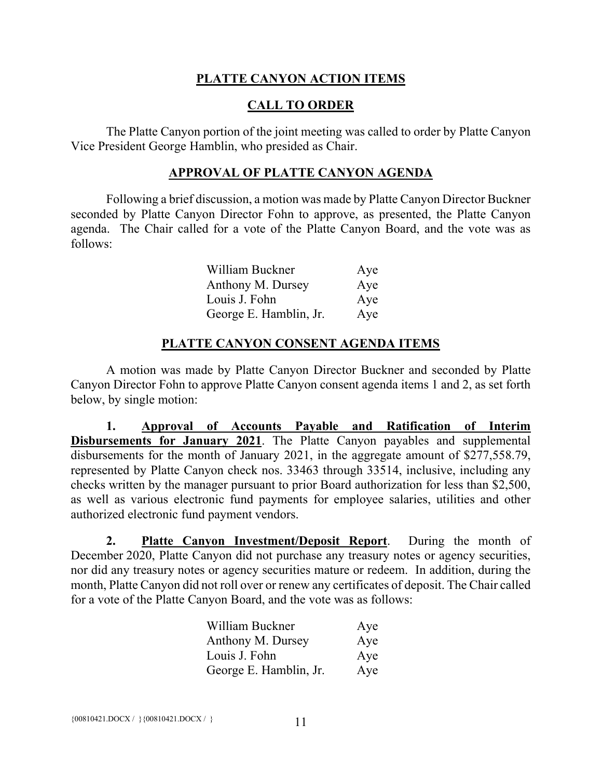# **PLATTE CANYON ACTION ITEMS**

# **CALL TO ORDER**

The Platte Canyon portion of the joint meeting was called to order by Platte Canyon Vice President George Hamblin, who presided as Chair.

### **APPROVAL OF PLATTE CANYON AGENDA**

Following a brief discussion, a motion was made by Platte Canyon Director Buckner seconded by Platte Canyon Director Fohn to approve, as presented, the Platte Canyon agenda. The Chair called for a vote of the Platte Canyon Board, and the vote was as follows:

| William Buckner        | Aye |
|------------------------|-----|
| Anthony M. Dursey      | Aye |
| Louis J. Fohn          | Aye |
| George E. Hamblin, Jr. | Aye |

## **PLATTE CANYON CONSENT AGENDA ITEMS**

A motion was made by Platte Canyon Director Buckner and seconded by Platte Canyon Director Fohn to approve Platte Canyon consent agenda items 1 and 2, as set forth below, by single motion:

**1. Approval of Accounts Payable and Ratification of Interim Disbursements for January 2021**. The Platte Canyon payables and supplemental disbursements for the month of January 2021, in the aggregate amount of \$277,558.79, represented by Platte Canyon check nos. 33463 through 33514, inclusive, including any checks written by the manager pursuant to prior Board authorization for less than \$2,500, as well as various electronic fund payments for employee salaries, utilities and other authorized electronic fund payment vendors.

**2. Platte Canyon Investment/Deposit Report**. During the month of December 2020, Platte Canyon did not purchase any treasury notes or agency securities, nor did any treasury notes or agency securities mature or redeem. In addition, during the month, Platte Canyon did not roll over or renew any certificates of deposit. The Chair called for a vote of the Platte Canyon Board, and the vote was as follows:

| William Buckner        | Aye |
|------------------------|-----|
| Anthony M. Dursey      | Aye |
| Louis J. Fohn          | Aye |
| George E. Hamblin, Jr. | Aye |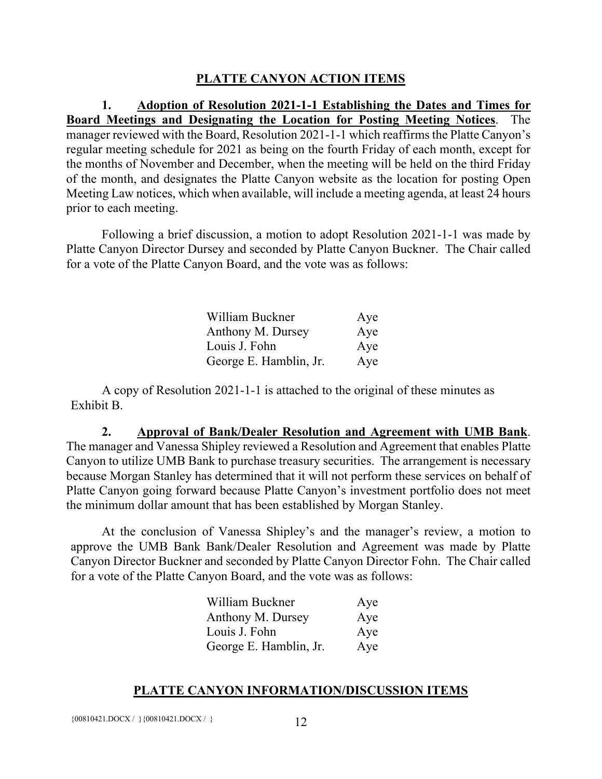## **PLATTE CANYON ACTION ITEMS**

**1. Adoption of Resolution 2021-1-1 Establishing the Dates and Times for Board Meetings and Designating the Location for Posting Meeting Notices**. The manager reviewed with the Board, Resolution 2021-1-1 which reaffirms the Platte Canyon's regular meeting schedule for 2021 as being on the fourth Friday of each month, except for the months of November and December, when the meeting will be held on the third Friday of the month, and designates the Platte Canyon website as the location for posting Open Meeting Law notices, which when available, will include a meeting agenda, at least 24 hours prior to each meeting.

Following a brief discussion, a motion to adopt Resolution 2021-1-1 was made by Platte Canyon Director Dursey and seconded by Platte Canyon Buckner. The Chair called for a vote of the Platte Canyon Board, and the vote was as follows:

| William Buckner        | Aye |
|------------------------|-----|
| Anthony M. Dursey      | Aye |
| Louis J. Fohn          | Aye |
| George E. Hamblin, Jr. | Aye |

A copy of Resolution 2021-1-1 is attached to the original of these minutes as Exhibit B.

**2. Approval of Bank/Dealer Resolution and Agreement with UMB Bank**. The manager and Vanessa Shipley reviewed a Resolution and Agreement that enables Platte Canyon to utilize UMB Bank to purchase treasury securities. The arrangement is necessary because Morgan Stanley has determined that it will not perform these services on behalf of Platte Canyon going forward because Platte Canyon's investment portfolio does not meet the minimum dollar amount that has been established by Morgan Stanley.

At the conclusion of Vanessa Shipley's and the manager's review, a motion to approve the UMB Bank Bank/Dealer Resolution and Agreement was made by Platte Canyon Director Buckner and seconded by Platte Canyon Director Fohn. The Chair called for a vote of the Platte Canyon Board, and the vote was as follows:

| William Buckner        | Aye |
|------------------------|-----|
| Anthony M. Dursey      | Aye |
| Louis J. Fohn          | Aye |
| George E. Hamblin, Jr. | Aye |

## **PLATTE CANYON INFORMATION/DISCUSSION ITEMS**

{ $00810421.DOCX / }$  { $00810421.DOCX / }$ } 12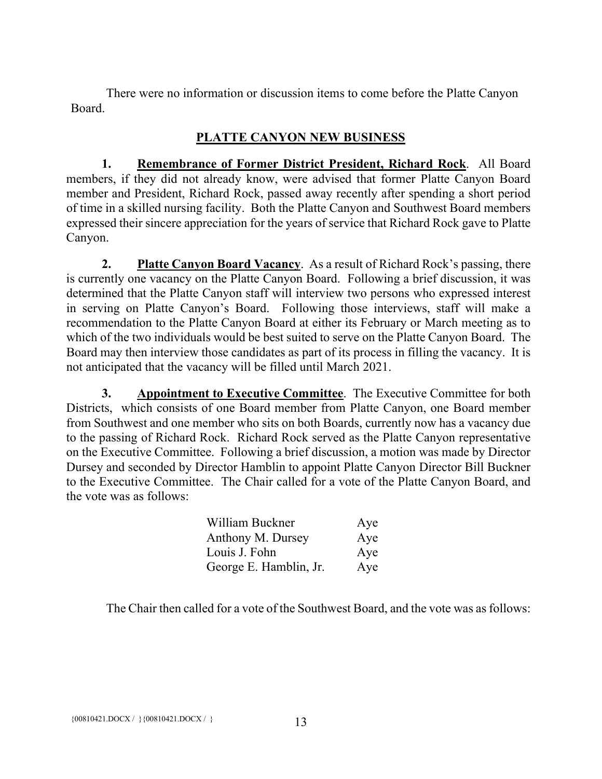There were no information or discussion items to come before the Platte Canyon Board.

# **PLATTE CANYON NEW BUSINESS**

**1. Remembrance of Former District President, Richard Rock**. All Board members, if they did not already know, were advised that former Platte Canyon Board member and President, Richard Rock, passed away recently after spending a short period of time in a skilled nursing facility. Both the Platte Canyon and Southwest Board members expressed their sincere appreciation for the years of service that Richard Rock gave to Platte Canyon.

**2. Platte Canyon Board Vacancy**. As a result of Richard Rock's passing, there is currently one vacancy on the Platte Canyon Board. Following a brief discussion, it was determined that the Platte Canyon staff will interview two persons who expressed interest in serving on Platte Canyon's Board. Following those interviews, staff will make a recommendation to the Platte Canyon Board at either its February or March meeting as to which of the two individuals would be best suited to serve on the Platte Canyon Board. The Board may then interview those candidates as part of its process in filling the vacancy. It is not anticipated that the vacancy will be filled until March 2021.

**3. Appointment to Executive Committee**. The Executive Committee for both Districts, which consists of one Board member from Platte Canyon, one Board member from Southwest and one member who sits on both Boards, currently now has a vacancy due to the passing of Richard Rock. Richard Rock served as the Platte Canyon representative on the Executive Committee. Following a brief discussion, a motion was made by Director Dursey and seconded by Director Hamblin to appoint Platte Canyon Director Bill Buckner to the Executive Committee. The Chair called for a vote of the Platte Canyon Board, and the vote was as follows:

| William Buckner        | Aye |
|------------------------|-----|
| Anthony M. Dursey      | Aye |
| Louis J. Fohn          | Aye |
| George E. Hamblin, Jr. | Aye |

The Chair then called for a vote of the Southwest Board, and the vote was as follows: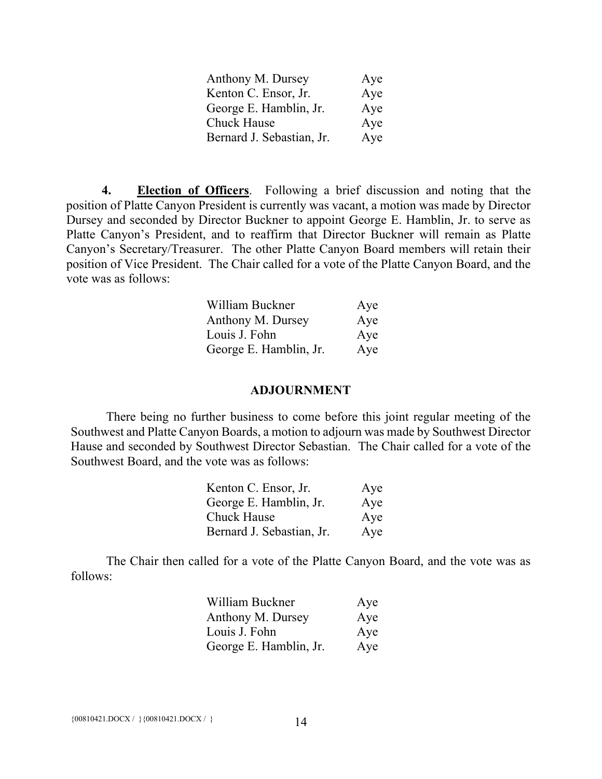| Anthony M. Dursey         | Aye |
|---------------------------|-----|
| Kenton C. Ensor, Jr.      | Aye |
| George E. Hamblin, Jr.    | Aye |
| Chuck Hause               | Aye |
| Bernard J. Sebastian, Jr. | Aye |

**4. Election of Officers**. Following a brief discussion and noting that the position of Platte Canyon President is currently was vacant, a motion was made by Director Dursey and seconded by Director Buckner to appoint George E. Hamblin, Jr. to serve as Platte Canyon's President, and to reaffirm that Director Buckner will remain as Platte Canyon's Secretary/Treasurer. The other Platte Canyon Board members will retain their position of Vice President. The Chair called for a vote of the Platte Canyon Board, and the vote was as follows:

| William Buckner        | Aye |
|------------------------|-----|
| Anthony M. Dursey      | Aye |
| Louis J. Fohn          | Aye |
| George E. Hamblin, Jr. | Aye |

#### **ADJOURNMENT**

There being no further business to come before this joint regular meeting of the Southwest and Platte Canyon Boards, a motion to adjourn was made by Southwest Director Hause and seconded by Southwest Director Sebastian. The Chair called for a vote of the Southwest Board, and the vote was as follows:

| Kenton C. Ensor, Jr.      | Aye |
|---------------------------|-----|
| George E. Hamblin, Jr.    | Aye |
| <b>Chuck Hause</b>        | Aye |
| Bernard J. Sebastian, Jr. | Aye |

The Chair then called for a vote of the Platte Canyon Board, and the vote was as follows:

| William Buckner        | Aye |
|------------------------|-----|
| Anthony M. Dursey      | Aye |
| Louis J. Fohn          | Aye |
| George E. Hamblin, Jr. | Aye |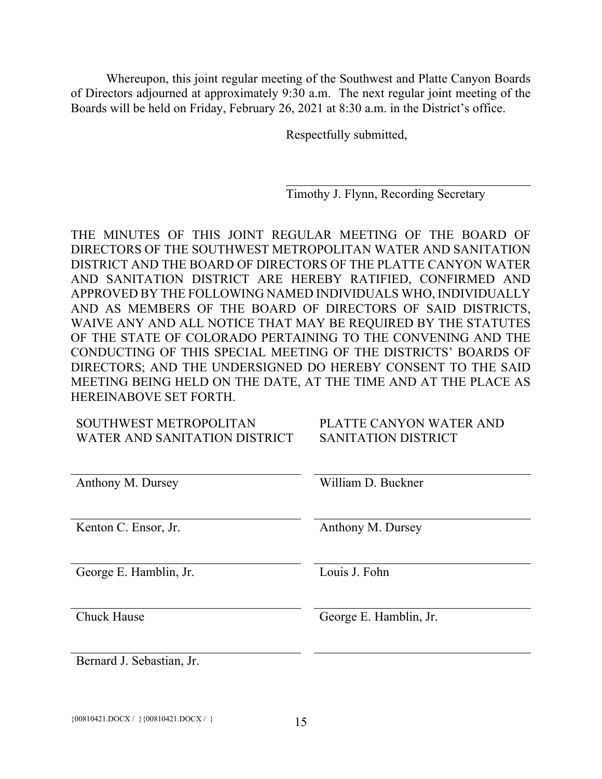Whereupon, this joint regular meeting of the Southwest and Platte Canyon Boards of Directors adjourned at approximately 9:30 a.m. The next regular joint meeting of the Boards will be held on Friday, February 26, 2021 at 8:30 a.m. in the District's office.

Respectfully submitted,

Timothy J. Flynn, Recording Secretary

THE MINUTES OF THIS JOINT REGULAR MEETING OF THE BOARD OF DIRECTORS OF THE SOUTHWEST METROPOLITAN WATER AND SANITATION DISTRICT AND THE BOARD OF DIRECTORS OF THE PLATTE CANYON WATER AND SANITATION DISTRICT ARE HEREBY RATIFIED, CONFIRMED AND APPROVED BY THE FOLLOWING NAMED INDIVIDUALS WHO, INDIVIDUALLY AND AS MEMBERS OF THE BOARD OF DIRECTORS OF SAID DISTRICTS, WAIVE ANY AND ALL NOTICE THAT MAY BE REQUIRED BY THE STATUTES OF THE STATE OF COLORADO PERTAINING TO THE CONVENING AND THE CONDUCTING OF THIS SPECIAL MEETING OF THE DISTRICTS' BOARDS OF DIRECTORS; AND THE UNDERSIGNED DO HEREBY CONSENT TO THE SAID MEETING BEING HELD ON THE DATE, AT THE TIME AND AT THE PLACE AS HEREINABOVE SET FORTH.

SOUTHWEST METROPOLITAN WATER AND SANITATION DISTRICT PLATTE CANYON WATER AND SANITATION DISTRICT

| Anthony M. Dursey         | William D. Buckner     |
|---------------------------|------------------------|
| Kenton C. Ensor, Jr.      | Anthony M. Dursey      |
| George E. Hamblin, Jr.    | Louis J. Fohn          |
| <b>Chuck Hause</b>        | George E. Hamblin, Jr. |
| Bernard J. Sebastian, Jr. |                        |